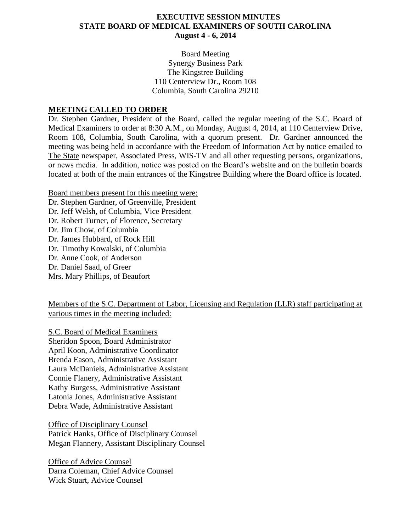#### **EXECUTIVE SESSION MINUTES STATE BOARD OF MEDICAL EXAMINERS OF SOUTH CAROLINA August 4 - 6, 2014**

Board Meeting Synergy Business Park The Kingstree Building 110 Centerview Dr., Room 108 Columbia, South Carolina 29210

#### **MEETING CALLED TO ORDER**

Dr. Stephen Gardner, President of the Board, called the regular meeting of the S.C. Board of Medical Examiners to order at 8:30 A.M., on Monday, August 4, 2014, at 110 Centerview Drive, Room 108, Columbia, South Carolina, with a quorum present. Dr. Gardner announced the meeting was being held in accordance with the Freedom of Information Act by notice emailed to The State newspaper, Associated Press, WIS-TV and all other requesting persons, organizations, or news media. In addition, notice was posted on the Board's website and on the bulletin boards located at both of the main entrances of the Kingstree Building where the Board office is located.

Board members present for this meeting were: Dr. Stephen Gardner, of Greenville, President Dr. Jeff Welsh, of Columbia, Vice President Dr. Robert Turner, of Florence, Secretary Dr. Jim Chow, of Columbia Dr. James Hubbard, of Rock Hill Dr. Timothy Kowalski, of Columbia Dr. Anne Cook, of Anderson Dr. Daniel Saad, of Greer Mrs. Mary Phillips, of Beaufort

Members of the S.C. Department of Labor, Licensing and Regulation (LLR) staff participating at various times in the meeting included:

S.C. Board of Medical Examiners Sheridon Spoon, Board Administrator April Koon, Administrative Coordinator Brenda Eason, Administrative Assistant Laura McDaniels, Administrative Assistant Connie Flanery, Administrative Assistant Kathy Burgess, Administrative Assistant Latonia Jones, Administrative Assistant Debra Wade, Administrative Assistant

Office of Disciplinary Counsel Patrick Hanks, Office of Disciplinary Counsel Megan Flannery, Assistant Disciplinary Counsel

Office of Advice Counsel Darra Coleman, Chief Advice Counsel Wick Stuart, Advice Counsel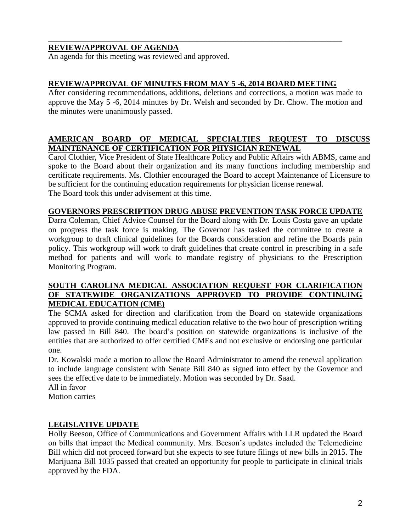# **REVIEW/APPROVAL OF AGENDA**

An agenda for this meeting was reviewed and approved.

## **REVIEW/APPROVAL OF MINUTES FROM MAY 5 -6, 2014 BOARD MEETING**

\_\_\_\_\_\_\_\_\_\_\_\_\_\_\_\_\_\_\_\_\_\_\_\_\_\_\_\_\_\_\_\_\_\_\_\_\_\_\_\_\_\_\_\_\_\_\_\_\_\_\_\_\_\_\_\_\_\_\_\_\_\_\_\_\_\_\_\_\_\_\_\_\_

After considering recommendations, additions, deletions and corrections, a motion was made to approve the May 5 -6, 2014 minutes by Dr. Welsh and seconded by Dr. Chow. The motion and the minutes were unanimously passed.

# **AMERICAN BOARD OF MEDICAL SPECIALTIES REQUEST TO DISCUSS MAINTENANCE OF CERTIFICATION FOR PHYSICIAN RENEWAL**

Carol Clothier, Vice President of State Healthcare Policy and Public Affairs with ABMS, came and spoke to the Board about their organization and its many functions including membership and certificate requirements. Ms. Clothier encouraged the Board to accept Maintenance of Licensure to be sufficient for the continuing education requirements for physician license renewal. The Board took this under advisement at this time.

### **GOVERNORS PRESCRIPTION DRUG ABUSE PREVENTION TASK FORCE UPDATE**

Darra Coleman, Chief Advice Counsel for the Board along with Dr. Louis Costa gave an update on progress the task force is making. The Governor has tasked the committee to create a workgroup to draft clinical guidelines for the Boards consideration and refine the Boards pain policy. This workgroup will work to draft guidelines that create control in prescribing in a safe method for patients and will work to mandate registry of physicians to the Prescription Monitoring Program.

## **SOUTH CAROLINA MEDICAL ASSOCIATION REQUEST FOR CLARIFICATION OF STATEWIDE ORGANIZATIONS APPROVED TO PROVIDE CONTINUING MEDICAL EDUCATION (CME)**

The SCMA asked for direction and clarification from the Board on statewide organizations approved to provide continuing medical education relative to the two hour of prescription writing law passed in Bill 840. The board's position on statewide organizations is inclusive of the entities that are authorized to offer certified CMEs and not exclusive or endorsing one particular one.

Dr. Kowalski made a motion to allow the Board Administrator to amend the renewal application to include language consistent with Senate Bill 840 as signed into effect by the Governor and sees the effective date to be immediately. Motion was seconded by Dr. Saad.

All in favor

Motion carries

# **LEGISLATIVE UPDATE**

Holly Beeson, Office of Communications and Government Affairs with LLR updated the Board on bills that impact the Medical community. Mrs. Beeson's updates included the Telemedicine Bill which did not proceed forward but she expects to see future filings of new bills in 2015. The Marijuana Bill 1035 passed that created an opportunity for people to participate in clinical trials approved by the FDA.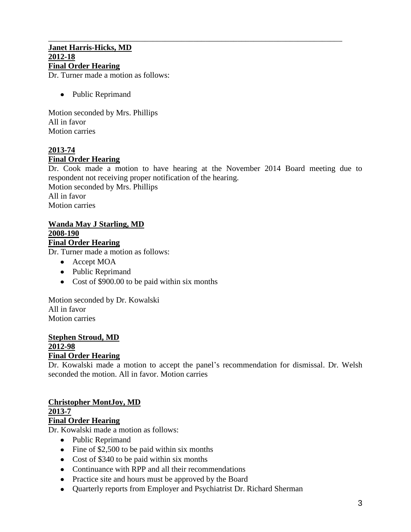# \_\_\_\_\_\_\_\_\_\_\_\_\_\_\_\_\_\_\_\_\_\_\_\_\_\_\_\_\_\_\_\_\_\_\_\_\_\_\_\_\_\_\_\_\_\_\_\_\_\_\_\_\_\_\_\_\_\_\_\_\_\_\_\_\_\_\_\_\_\_\_\_\_ **Janet Harris-Hicks, MD 2012-18 Final Order Hearing**

Dr. Turner made a motion as follows:

• Public Reprimand

Motion seconded by Mrs. Phillips All in favor Motion carries

# **2013-74 Final Order Hearing**

Dr. Cook made a motion to have hearing at the November 2014 Board meeting due to respondent not receiving proper notification of the hearing.

Motion seconded by Mrs. Phillips All in favor Motion carries

#### **Wanda May J Starling, MD 2008-190 Final Order Hearing**

Dr. Turner made a motion as follows:

- Accept MOA
- Public Reprimand
- Cost of \$900.00 to be paid within six months

Motion seconded by Dr. Kowalski All in favor Motion carries

#### **Stephen Stroud, MD 2012-98 Final Order Hearing**

Dr. Kowalski made a motion to accept the panel's recommendation for dismissal. Dr. Welsh seconded the motion. All in favor. Motion carries

# **Christopher MontJoy, MD**

**2013-7**

# **Final Order Hearing**

Dr. Kowalski made a motion as follows:

- Public Reprimand
- Fine of \$2,500 to be paid within six months
- Cost of \$340 to be paid within six months
- Continuance with RPP and all their recommendations
- Practice site and hours must be approved by the Board
- Quarterly reports from Employer and Psychiatrist Dr. Richard Sherman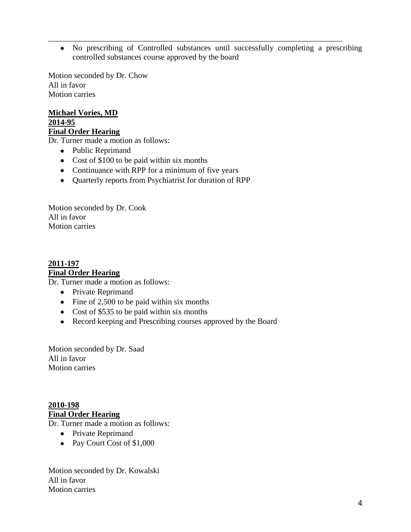No prescribing of Controlled substances until successfully completing a prescribing controlled substances course approved by the board

\_\_\_\_\_\_\_\_\_\_\_\_\_\_\_\_\_\_\_\_\_\_\_\_\_\_\_\_\_\_\_\_\_\_\_\_\_\_\_\_\_\_\_\_\_\_\_\_\_\_\_\_\_\_\_\_\_\_\_\_\_\_\_\_\_\_\_\_\_\_\_\_\_

Motion seconded by Dr. Chow All in favor Motion carries

**Michael Vories, MD 2014-95 Final Order Hearing**

Dr. Turner made a motion as follows:

- Public Reprimand
- Cost of \$100 to be paid within six months
- Continuance with RPP for a minimum of five years
- Quarterly reports from Psychiatrist for duration of RPP

Motion seconded by Dr. Cook All in favor Motion carries

**2011-197 Final Order Hearing**

Dr. Turner made a motion as follows:

- Private Reprimand
- $\bullet$  Fine of 2,500 to be paid within six months
- Cost of \$535 to be paid within six months
- Record keeping and Prescribing courses approved by the Board

Motion seconded by Dr. Saad All in favor Motion carries

**2010-198 Final Order Hearing**

Dr. Turner made a motion as follows:

- Private Reprimand
- Pay Court Cost of \$1,000

Motion seconded by Dr. Kowalski All in favor Motion carries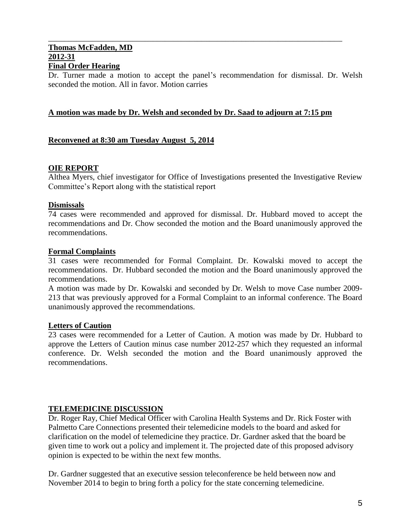#### \_\_\_\_\_\_\_\_\_\_\_\_\_\_\_\_\_\_\_\_\_\_\_\_\_\_\_\_\_\_\_\_\_\_\_\_\_\_\_\_\_\_\_\_\_\_\_\_\_\_\_\_\_\_\_\_\_\_\_\_\_\_\_\_\_\_\_\_\_\_\_\_\_ **Thomas McFadden, MD 2012-31 Final Order Hearing**

Dr. Turner made a motion to accept the panel's recommendation for dismissal. Dr. Welsh seconded the motion. All in favor. Motion carries

### **A motion was made by Dr. Welsh and seconded by Dr. Saad to adjourn at 7:15 pm**

### **Reconvened at 8:30 am Tuesday August 5, 2014**

#### **OIE REPORT**

Althea Myers, chief investigator for Office of Investigations presented the Investigative Review Committee's Report along with the statistical report

#### **Dismissals**

74 cases were recommended and approved for dismissal. Dr. Hubbard moved to accept the recommendations and Dr. Chow seconded the motion and the Board unanimously approved the recommendations.

#### **Formal Complaints**

31 cases were recommended for Formal Complaint. Dr. Kowalski moved to accept the recommendations. Dr. Hubbard seconded the motion and the Board unanimously approved the recommendations.

A motion was made by Dr. Kowalski and seconded by Dr. Welsh to move Case number 2009- 213 that was previously approved for a Formal Complaint to an informal conference. The Board unanimously approved the recommendations.

#### **Letters of Caution**

23 cases were recommended for a Letter of Caution. A motion was made by Dr. Hubbard to approve the Letters of Caution minus case number 2012-257 which they requested an informal conference. Dr. Welsh seconded the motion and the Board unanimously approved the recommendations.

#### **TELEMEDICINE DISCUSSION**

Dr. Roger Ray, Chief Medical Officer with Carolina Health Systems and Dr. Rick Foster with Palmetto Care Connections presented their telemedicine models to the board and asked for clarification on the model of telemedicine they practice. Dr. Gardner asked that the board be given time to work out a policy and implement it. The projected date of this proposed advisory opinion is expected to be within the next few months.

Dr. Gardner suggested that an executive session teleconference be held between now and November 2014 to begin to bring forth a policy for the state concerning telemedicine.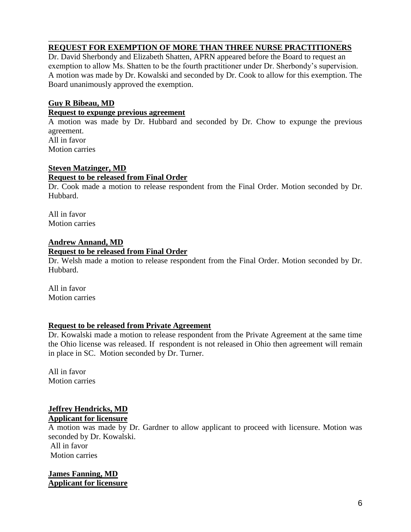# **REQUEST FOR EXEMPTION OF MORE THAN THREE NURSE PRACTITIONERS**

\_\_\_\_\_\_\_\_\_\_\_\_\_\_\_\_\_\_\_\_\_\_\_\_\_\_\_\_\_\_\_\_\_\_\_\_\_\_\_\_\_\_\_\_\_\_\_\_\_\_\_\_\_\_\_\_\_\_\_\_\_\_\_\_\_\_\_\_\_\_\_\_\_

Dr. David Sherbondy and Elizabeth Shatten, APRN appeared before the Board to request an exemption to allow Ms. Shatten to be the fourth practitioner under Dr. Sherbondy's supervision. A motion was made by Dr. Kowalski and seconded by Dr. Cook to allow for this exemption. The Board unanimously approved the exemption.

# **Guy R Bibeau, MD**

#### **Request to expunge previous agreement**

A motion was made by Dr. Hubbard and seconded by Dr. Chow to expunge the previous agreement. All in favor

Motion carries

# **Steven Matzinger, MD**

#### **Request to be released from Final Order**

Dr. Cook made a motion to release respondent from the Final Order. Motion seconded by Dr. Hubbard.

All in favor Motion carries

#### **Andrew Annand, MD Request to be released from Final Order**

Dr. Welsh made a motion to release respondent from the Final Order. Motion seconded by Dr. Hubbard.

All in favor Motion carries

# **Request to be released from Private Agreement**

Dr. Kowalski made a motion to release respondent from the Private Agreement at the same time the Ohio license was released. If respondent is not released in Ohio then agreement will remain in place in SC. Motion seconded by Dr. Turner.

All in favor Motion carries

#### **Jeffrey Hendricks, MD Applicant for licensure**

A motion was made by Dr. Gardner to allow applicant to proceed with licensure. Motion was seconded by Dr. Kowalski.

All in favor Motion carries

**James Fanning, MD Applicant for licensure**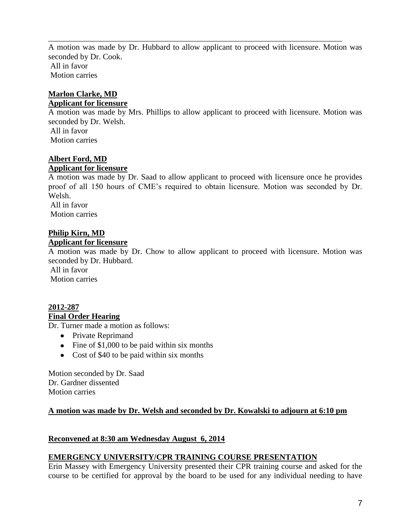A motion was made by Dr. Hubbard to allow applicant to proceed with licensure. Motion was seconded by Dr. Cook. All in favor Motion carries

\_\_\_\_\_\_\_\_\_\_\_\_\_\_\_\_\_\_\_\_\_\_\_\_\_\_\_\_\_\_\_\_\_\_\_\_\_\_\_\_\_\_\_\_\_\_\_\_\_\_\_\_\_\_\_\_\_\_\_\_\_\_\_\_\_\_\_\_\_\_\_\_\_

# **Marlon Clarke, MD**

### **Applicant for licensure**

A motion was made by Mrs. Phillips to allow applicant to proceed with licensure. Motion was seconded by Dr. Welsh.

All in favor Motion carries

# **Albert Ford, MD**

# **Applicant for licensure**

A motion was made by Dr. Saad to allow applicant to proceed with licensure once he provides proof of all 150 hours of CME's required to obtain licensure. Motion was seconded by Dr. Welsh. All in favor

Motion carries

# **Philip Kirn, MD**

### **Applicant for licensure**

A motion was made by Dr. Chow to allow applicant to proceed with licensure. Motion was seconded by Dr. Hubbard.

All in favor Motion carries

#### **2012-287 Final Order Hearing**

Dr. Turner made a motion as follows:

- Private Reprimand
- Fine of \$1,000 to be paid within six months
- Cost of \$40 to be paid within six months

Motion seconded by Dr. Saad Dr. Gardner dissented Motion carries

# **A motion was made by Dr. Welsh and seconded by Dr. Kowalski to adjourn at 6:10 pm**

# **Reconvened at 8:30 am Wednesday August 6, 2014**

# **EMERGENCY UNIVERSITY/CPR TRAINING COURSE PRESENTATION**

Erin Massey with Emergency University presented their CPR training course and asked for the course to be certified for approval by the board to be used for any individual needing to have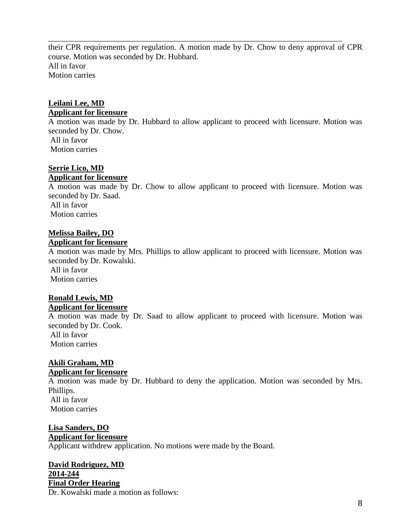their CPR requirements per regulation. A motion made by Dr. Chow to deny approval of CPR course. Motion was seconded by Dr. Hubbard. All in favor Motion carries

\_\_\_\_\_\_\_\_\_\_\_\_\_\_\_\_\_\_\_\_\_\_\_\_\_\_\_\_\_\_\_\_\_\_\_\_\_\_\_\_\_\_\_\_\_\_\_\_\_\_\_\_\_\_\_\_\_\_\_\_\_\_\_\_\_\_\_\_\_\_\_\_\_

# **Leilani Lee, MD Applicant for licensure**

A motion was made by Dr. Hubbard to allow applicant to proceed with licensure. Motion was seconded by Dr. Chow. All in favor Motion carries

### **Serrie Lico, MD**

#### **Applicant for licensure**

A motion was made by Dr. Chow to allow applicant to proceed with licensure. Motion was seconded by Dr. Saad. All in favor Motion carries

# **Melissa Bailey, DO**

#### **Applicant for licensure**

A motion was made by Mrs. Phillips to allow applicant to proceed with licensure. Motion was seconded by Dr. Kowalski. All in favor

Motion carries

### **Ronald Lewis, MD Applicant for licensure**

A motion was made by Dr. Saad to allow applicant to proceed with licensure. Motion was seconded by Dr. Cook.

All in favor Motion carries

# **Akili Graham, MD**

# **Applicant for licensure**

A motion was made by Dr. Hubbard to deny the application. Motion was seconded by Mrs. Phillips. All in favor

Motion carries

# **Lisa Sanders, DO Applicant for licensure**

Applicant withdrew application. No motions were made by the Board.

# **David Rodriguez, MD 2014-244**

**Final Order Hearing**

Dr. Kowalski made a motion as follows: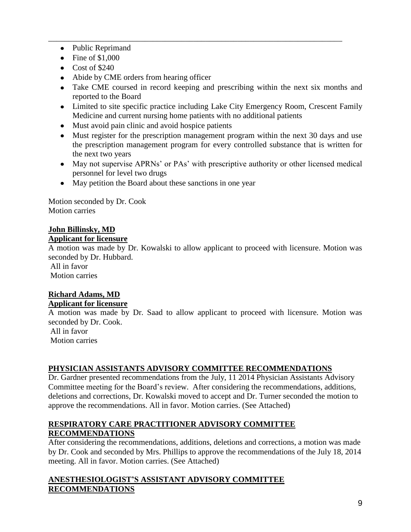- Public Reprimand
- $\bullet$  Fine of \$1,000
- Cost of \$240
- Abide by CME orders from hearing officer
- Take CME coursed in record keeping and prescribing within the next six months and reported to the Board

\_\_\_\_\_\_\_\_\_\_\_\_\_\_\_\_\_\_\_\_\_\_\_\_\_\_\_\_\_\_\_\_\_\_\_\_\_\_\_\_\_\_\_\_\_\_\_\_\_\_\_\_\_\_\_\_\_\_\_\_\_\_\_\_\_\_\_\_\_\_\_\_\_

- Limited to site specific practice including Lake City Emergency Room, Crescent Family Medicine and current nursing home patients with no additional patients
- Must avoid pain clinic and avoid hospice patients
- Must register for the prescription management program within the next 30 days and use the prescription management program for every controlled substance that is written for the next two years
- May not supervise APRNs' or PAs' with prescriptive authority or other licensed medical personnel for level two drugs
- May petition the Board about these sanctions in one year

Motion seconded by Dr. Cook Motion carries

#### **John Billinsky, MD Applicant for licensure**

A motion was made by Dr. Kowalski to allow applicant to proceed with licensure. Motion was seconded by Dr. Hubbard.

All in favor Motion carries

### **Richard Adams, MD Applicant for licensure**

A motion was made by Dr. Saad to allow applicant to proceed with licensure. Motion was seconded by Dr. Cook.

All in favor Motion carries

# **PHYSICIAN ASSISTANTS ADVISORY COMMITTEE RECOMMENDATIONS**

Dr. Gardner presented recommendations from the July, 11 2014 Physician Assistants Advisory Committee meeting for the Board's review. After considering the recommendations, additions, deletions and corrections, Dr. Kowalski moved to accept and Dr. Turner seconded the motion to approve the recommendations. All in favor. Motion carries. (See Attached)

# **RESPIRATORY CARE PRACTITIONER ADVISORY COMMITTEE RECOMMENDATIONS**

After considering the recommendations, additions, deletions and corrections, a motion was made by Dr. Cook and seconded by Mrs. Phillips to approve the recommendations of the July 18, 2014 meeting. All in favor. Motion carries. (See Attached)

# **ANESTHESIOLOGIST'S ASSISTANT ADVISORY COMMITTEE RECOMMENDATIONS**